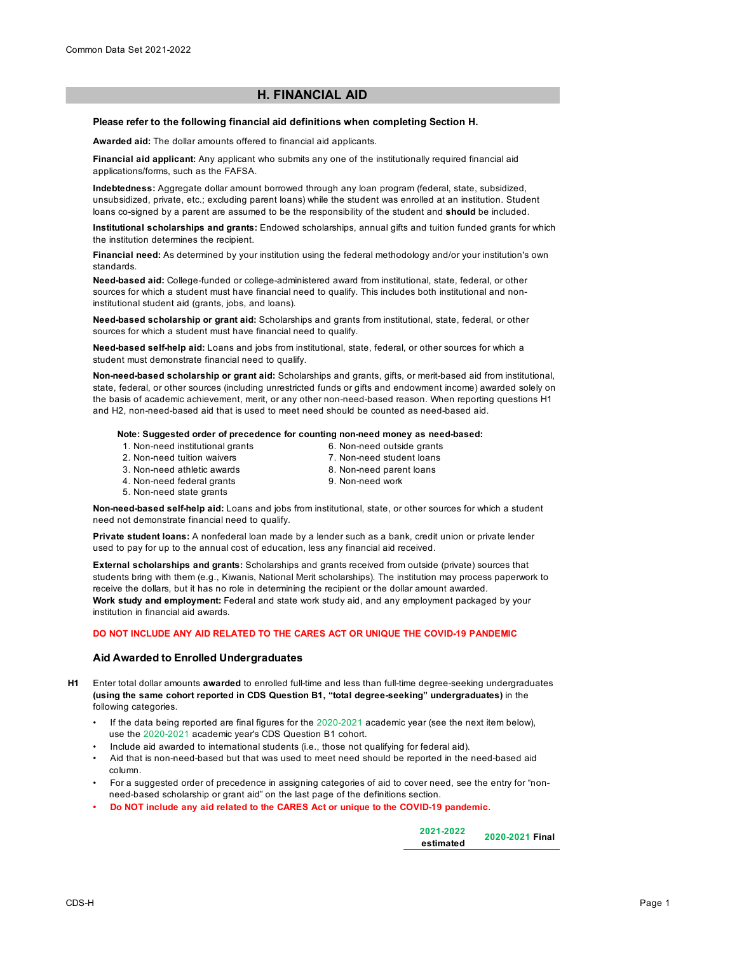## **H. FINANCIAL AID**

#### **Please refer to the following financial aid definitions when completing Section H.**

**Awarded aid:** The dollar amounts offered to financial aid applicants.

**Financial aid applicant:** Any applicant who submits any one of the institutionally required financial aid applications/forms, such as the FAFSA.

**Indebtedness:** Aggregate dollar amount borrowed through any loan program (federal, state, subsidized, unsubsidized, private, etc.; excluding parent loans) while the student was enrolled at an institution. Student loans co-signed by a parent are assumed to be the responsibility of the student and **should** be included.

**Institutional scholarships and grants:** Endowed scholarships, annual gifts and tuition funded grants for which the institution determines the recipient.

**Financial need:** As determined by your institution using the federal methodology and/or your institution's own standards.

**Need-based aid:** College-funded or college-administered award from institutional, state, federal, or other sources for which a student must have financial need to qualify. This includes both institutional and noninstitutional student aid (grants, jobs, and loans).

**Need-based scholarship or grant aid:** Scholarships and grants from institutional, state, federal, or other sources for which a student must have financial need to qualify.

**Need-based self-help aid:** Loans and jobs from institutional, state, federal, or other sources for which a student must demonstrate financial need to qualify.

**Non-need-based scholarship or grant aid:** Scholarships and grants, gifts, or merit-based aid from institutional, state, federal, or other sources (including unrestricted funds or gifts and endowment income) awarded solely on the basis of academic achievement, merit, or any other non-need-based reason. When reporting questions H1 and H2, non-need-based aid that is used to meet need should be counted as need-based aid.

### **Note: Suggested order of precedence for counting non-need money as need-based:**

- 1. Non-need institutional grants 2. Non-need tuition waivers
- 6. Non-need outside grants 7. Non-need student loans
- 3. Non-need athletic awards
- 8. Non-need parent loans
- 4. Non-need federal grants
- 9. Non-need work

5. Non-need state grants

**Non-need-based self-help aid:** Loans and jobs from institutional, state, or other sources for which a student need not demonstrate financial need to qualify.

**Private student loans:** A nonfederal loan made by a lender such as a bank, credit union or private lender used to pay for up to the annual cost of education, less any financial aid received.

**External scholarships and grants:** Scholarships and grants received from outside (private) sources that students bring with them (e.g., Kiwanis, National Merit scholarships). The institution may process paperwork to receive the dollars, but it has no role in determining the recipient or the dollar amount awarded. **Work study and employment:** Federal and state work study aid, and any employment packaged by your institution in financial aid awards.

## **DO NOT INCLUDE ANY AID RELATED TO THE CARES ACT OR UNIQUE THE COVID-19 PANDEMIC**

### **Aid Awarded to Enrolled Undergraduates**

- **H1** Enter total dollar amounts **awarded** to enrolled full-time and less than full-time degree-seeking undergraduates **(using the same cohort reported in CDS Question B1, "total degree-seeking" undergraduates)** in the following categories.
	- If the data being reported are final figures for the 2020-2021 academic year (see the next item below), use the 2020-2021 academic year's CDS Question B1 cohort.
	- Include aid awarded to international students (i.e., those not qualifying for federal aid).
	- Aid that is non-need-based but that was used to meet need should be reported in the need-based aid column.
	- For a suggested order of precedence in assigning categories of aid to cover need, see the entry for "non need-based scholarship or grant aid" on the last page of the definitions section.
	- **Do NOT include any aid related to the CARES Act or unique to the COVID-19 pandemic.**

| 2021-2022 | 2020-2021 Final |
|-----------|-----------------|
| estimated |                 |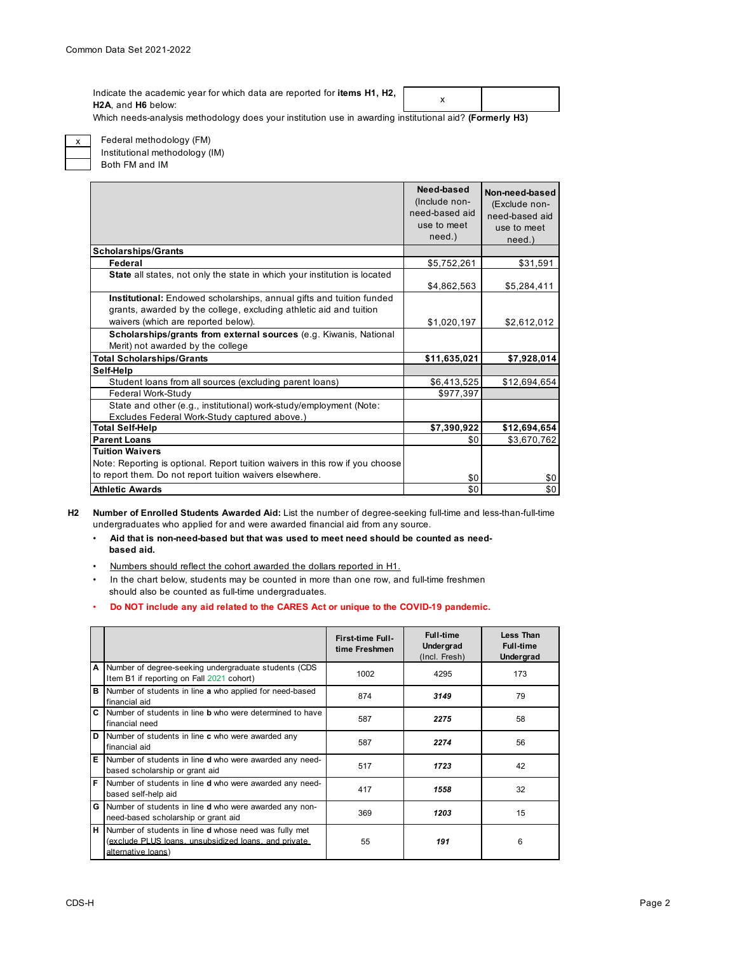x Indicate the academic year for which data are reported for **items H1, H2, H2A**, and **H6** below:

Which needs-analysis methodology does your institution use in awarding institutional aid? **(Formerly H3)**



Federal methodology (FM) Institutional methodology (IM)

Both FM and IM

|                                                                                                                                            | Need-based<br>(Include non-<br>need-based aid<br>use to meet | Non-need-based<br>(Exclude non-<br>need-based aid<br>use to meet |
|--------------------------------------------------------------------------------------------------------------------------------------------|--------------------------------------------------------------|------------------------------------------------------------------|
|                                                                                                                                            | need.)                                                       | need.)                                                           |
| <b>Scholarships/Grants</b>                                                                                                                 |                                                              |                                                                  |
| Federal                                                                                                                                    | \$5,752,261                                                  | \$31,591                                                         |
| <b>State</b> all states, not only the state in which your institution is located                                                           | \$4,862,563                                                  | \$5,284,411                                                      |
| Institutional: Endowed scholarships, annual gifts and tuition funded<br>grants, awarded by the college, excluding athletic aid and tuition |                                                              |                                                                  |
| waivers (which are reported below).                                                                                                        | \$1,020,197                                                  | \$2,612,012                                                      |
| Scholarships/grants from external sources (e.g. Kiwanis, National                                                                          |                                                              |                                                                  |
| Merit) not awarded by the college                                                                                                          |                                                              |                                                                  |
| <b>Total Scholarships/Grants</b>                                                                                                           | \$11,635,021                                                 | \$7,928,014                                                      |
| Self-Help                                                                                                                                  |                                                              |                                                                  |
| Student loans from all sources (excluding parent loans)                                                                                    | \$6,413,525                                                  | \$12,694,654                                                     |
| Federal Work-Study                                                                                                                         | \$977,397                                                    |                                                                  |
| State and other (e.g., institutional) work-study/employment (Note:<br>Excludes Federal Work-Study captured above.)                         |                                                              |                                                                  |
| <b>Total Self-Help</b>                                                                                                                     | \$7,390,922                                                  | \$12,694,654                                                     |
| <b>Parent Loans</b>                                                                                                                        | \$0                                                          | \$3,670,762                                                      |
| <b>Tuition Waivers</b>                                                                                                                     |                                                              |                                                                  |
| Note: Reporting is optional. Report tuition waivers in this row if you choose                                                              |                                                              |                                                                  |
| to report them. Do not report tuition waivers elsewhere.                                                                                   | \$0                                                          | \$0                                                              |
| <b>Athletic Awards</b>                                                                                                                     | \$0                                                          | \$0                                                              |

**H2 Number of Enrolled Students Awarded Aid:** List the number of degree-seeking full-time and less-than-full-time undergraduates who applied for and were awarded financial aid from any source.

- • **Aid that is non-need-based but that was used to meet need should be counted as need based aid.**
- Numbers should reflect the cohort awarded the dollars reported in H1.
- In the chart below, students may be counted in more than one row, and full-time freshmen should also be counted as full-time undergraduates.
- • **Do NOT include any aid related to the CARES Act or unique to the COVID-19 pandemic.**

|   |                                                                                                                                            | First-time Full-<br>time Freshmen | <b>Full-time</b><br>Undergrad<br>(Incl. Fresh) | Less Than<br><b>Full-time</b><br>Undergrad |
|---|--------------------------------------------------------------------------------------------------------------------------------------------|-----------------------------------|------------------------------------------------|--------------------------------------------|
| A | Number of degree-seeking undergraduate students (CDS<br>Item B1 if reporting on Fall 2021 cohort)                                          | 1002                              | 4295                                           | 173                                        |
| в | Number of students in line a who applied for need-based<br>financial aid                                                                   | 874                               | 3149                                           | 79                                         |
| C | Number of students in line <b>b</b> who were determined to have<br>financial need                                                          | 587                               | 2275                                           | 58                                         |
| D | Number of students in line c who were awarded any<br>financial aid                                                                         | 587                               | 2274                                           | 56                                         |
| Е | Number of students in line <b>d</b> who were awarded any need-<br>based scholarship or grant aid                                           | 517                               | 1723                                           | 42                                         |
| F | Number of students in line d who were awarded any need-<br>based self-help aid                                                             | 417                               | 1558                                           | 32                                         |
| G | Number of students in line <b>d</b> who were awarded any non-<br>need-based scholarship or grant aid                                       | 369                               | 1203                                           | 15                                         |
| н | Number of students in line <b>d</b> whose need was fully met<br>(exclude PLUS loans, unsubsidized loans, and private<br>alternative loans) | 55                                | 191                                            | 6                                          |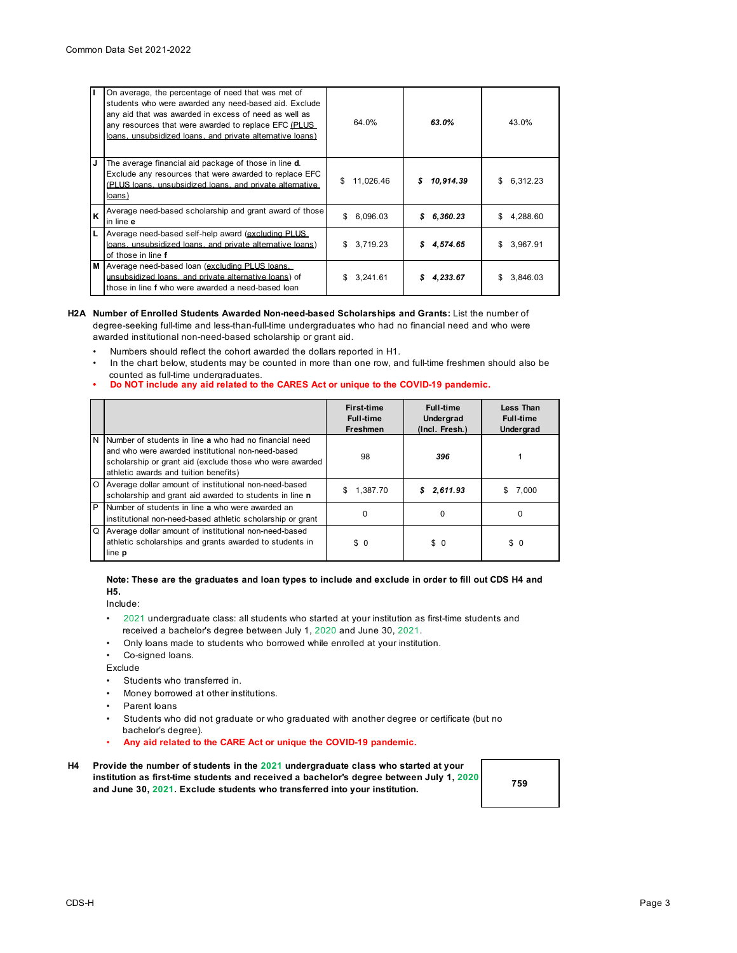| IT       | On average, the percentage of need that was met of<br>students who were awarded any need-based aid. Exclude<br>any aid that was awarded in excess of need as well as<br>any resources that were awarded to replace EFC (PLUS<br>loans, unsubsidized loans, and private alternative loans) | 64.0%          | 63.0%           | 43.0%          |
|----------|-------------------------------------------------------------------------------------------------------------------------------------------------------------------------------------------------------------------------------------------------------------------------------------------|----------------|-----------------|----------------|
| IJ       | The average financial aid package of those in line <b>d</b> .<br>Exclude any resources that were awarded to replace EFC<br>(PLUS loans, unsubsidized loans, and private alternative<br>loans)                                                                                             | 11,026.46<br>S | \$<br>10,914.39 | \$<br>6,312.23 |
| <b>K</b> | Average need-based scholarship and grant award of those<br>in line e                                                                                                                                                                                                                      | \$<br>6.096.03 | 6,360.23<br>\$  | \$<br>4.288.60 |
| IL.      | Average need-based self-help award (excluding PLUS<br>loans, unsubsidized loans, and private alternative loans)<br>of those in line f                                                                                                                                                     | 3,719.23<br>\$ | 4,574.65<br>S   | \$<br>3,967.91 |
| M        | Average need-based loan (excluding PLUS loans.<br>unsubsidized loans, and private alternative loans) of<br>those in line f who were awarded a need-based loan                                                                                                                             | 3.241.61<br>S  | 4.233.67<br>S   | \$<br>3.846.03 |

#### **H2A Number of Enrolled Students Awarded Non-need-based Scholarships and Grants:** List the number of degree-seeking full-time and less-than-full-time undergraduates who had no financial need and who were awarded institutional non-need-based scholarship or grant aid.

- Numbers should reflect the cohort awarded the dollars reported in H1.
- In the chart below, students may be counted in more than one row, and full-time freshmen should also be counted as full-time undergraduates.
- **Do NOT include any aid related to the CARES Act or unique to the COVID-19 pandemic.**

|          |                                                                                                                                                                                                                  | <b>First-time</b><br><b>Full-time</b><br><b>Freshmen</b> | <b>Full-time</b><br>Undergrad<br>(Incl. Fresh.) | Less Than<br><b>Full-time</b><br>Undergrad |
|----------|------------------------------------------------------------------------------------------------------------------------------------------------------------------------------------------------------------------|----------------------------------------------------------|-------------------------------------------------|--------------------------------------------|
| IN.      | Number of students in line a who had no financial need<br>and who were awarded institutional non-need-based<br>scholarship or grant aid (exclude those who were awarded<br>athletic awards and tuition benefits) | 98                                                       | 396                                             |                                            |
| $\circ$  | Average dollar amount of institutional non-need-based<br>scholarship and grant aid awarded to students in line n                                                                                                 | \$<br>1,387.70                                           | \$2,611.93                                      | 7.000                                      |
| P        | Number of students in line a who were awarded an<br>institutional non-need-based athletic scholarship or grant                                                                                                   | 0                                                        | 0                                               | $\Omega$                                   |
| $\Omega$ | Average dollar amount of institutional non-need-based<br>athletic scholarships and grants awarded to students in<br>line <b>p</b>                                                                                | \$0                                                      | \$0                                             | \$0                                        |

## **Note: These are the graduates and loan types to include and exclude in order to fill out CDS H4 and H5.**

Include:

- •2021 undergraduate class: all students who started at your institution as first-time students and received a bachelor's degree between July 1, 2020 and June 30, 2021.
- Only loans made to students who borrowed while enrolled at your institution.
- Co-signed loans.

Exclude

- Students who transferred in.
- Money borrowed at other institutions.
- Parent loans
- Students who did not graduate or who graduated with another degree or certificate (but no bachelor's degree).
- **Any aid related to the CARE Act or unique the COVID-19 pandemic.**
- **H4 Provide the number of students in the 2021 undergraduate class who started at your institution as first-time students and received a bachelor's degree between July 1, 2020 and June 30, 2021. Exclude students who transferred into your institution.**

**759**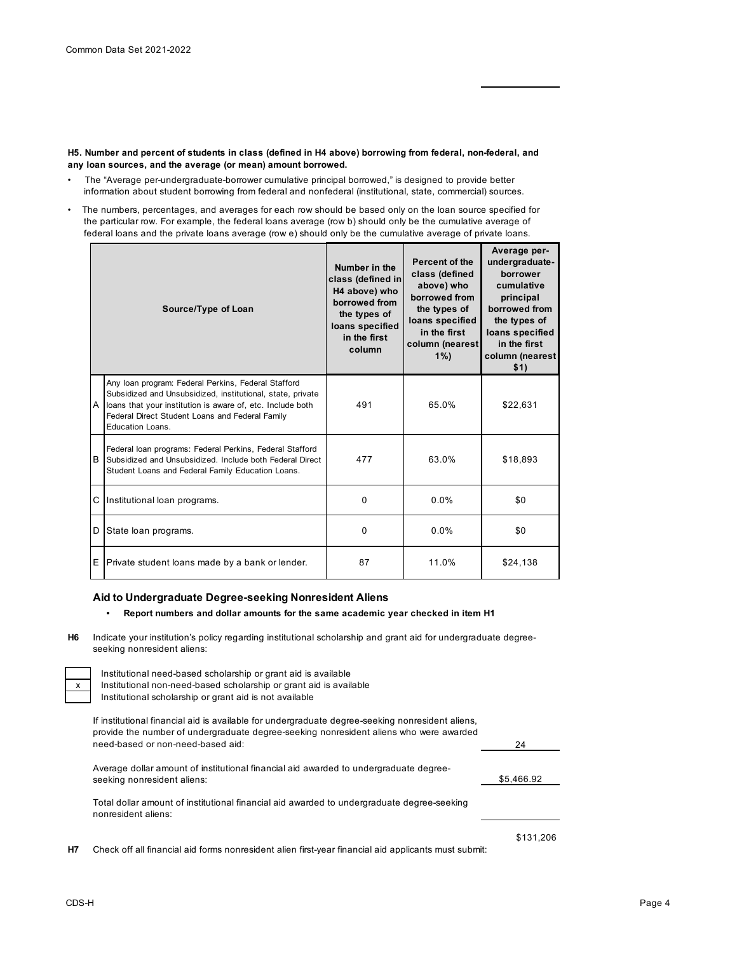**H5. Number and percent of students in class (defined in H4 above) borrowing from federal, non-federal, and any loan sources, and the average (or mean) amount borrowed.**

- The "Average per-undergraduate-borrower cumulative principal borrowed," is designed to provide better information about student borrowing from federal and nonfederal (institutional, state, commercial) sources.
- The numbers, percentages, and averages for each row should be based only on the loan source specified for the particular row. For example, the federal loans average (row b) should only be the cumulative average of federal loans and the private loans average (row e) should only be the cumulative average of private loans.

| Source/Type of Loan |                                                                                                                                                                                                                                                                 | Percent of the<br>Number in the<br>class (defined<br>class (defined in<br>above) who<br>H4 above) who<br>borrowed from<br>borrowed from<br>the types of<br>the types of<br>loans specified<br>loans specified<br>in the first<br>in the first<br>column (nearest<br>column<br>$1\%$ |       | Average per-<br>undergraduate-<br>borrower<br>cumulative<br>principal<br>borrowed from<br>the types of<br>loans specified<br>in the first<br>column (nearest<br>\$1) |  |
|---------------------|-----------------------------------------------------------------------------------------------------------------------------------------------------------------------------------------------------------------------------------------------------------------|-------------------------------------------------------------------------------------------------------------------------------------------------------------------------------------------------------------------------------------------------------------------------------------|-------|----------------------------------------------------------------------------------------------------------------------------------------------------------------------|--|
|                     | Any Ioan program: Federal Perkins, Federal Stafford<br>Subsidized and Unsubsidized, institutional, state, private<br>A loans that your institution is aware of, etc. Include both<br>Federal Direct Student Loans and Federal Family<br><b>Education Loans.</b> | 491                                                                                                                                                                                                                                                                                 | 65.0% | \$22,631                                                                                                                                                             |  |
| <sub>B</sub>        | Federal Ioan programs: Federal Perkins, Federal Stafford<br>Subsidized and Unsubsidized. Include both Federal Direct<br>Student Loans and Federal Family Education Loans.                                                                                       | 477                                                                                                                                                                                                                                                                                 | 63.0% | \$18,893                                                                                                                                                             |  |
| C                   | Institutional loan programs.                                                                                                                                                                                                                                    | $\Omega$                                                                                                                                                                                                                                                                            | 0.0%  | \$0                                                                                                                                                                  |  |
| D                   | State loan programs.                                                                                                                                                                                                                                            | 0                                                                                                                                                                                                                                                                                   | 0.0%  | \$0                                                                                                                                                                  |  |
| E                   | Private student loans made by a bank or lender.                                                                                                                                                                                                                 | 87                                                                                                                                                                                                                                                                                  | 11.0% | \$24,138                                                                                                                                                             |  |

## **Aid to Undergraduate Degree-seeking Nonresident Aliens**

### **• Report numbers and dollar amounts for the same academic year checked in item H1**

**H6** Indicate your institution's policy regarding institutional scholarship and grant aid for undergraduate degreeseeking nonresident aliens:

Institutional need-based scholarship or grant aid is available Institutional non-need-based scholarship or grant aid is available Institutional scholarship or grant aid is not available

If institutional financial aid is available for undergraduate degree-seeking nonresident aliens, provide the number of undergraduate degree-seeking nonresident aliens who were awarded need-based or non-need-based aid:

| Average dollar amount of institutional financial aid awarded to undergraduate degree-      |            |
|--------------------------------------------------------------------------------------------|------------|
| seeking nonresident aliens:                                                                | \$5.466.92 |
|                                                                                            |            |
| Total dollar amount of institutional financial aid awarded to undergraduate degree-seeking |            |

**H7** Check off all financial aid forms nonresident alien first-year financial aid applicants must submit:

nonresident aliens:

24

\$131,206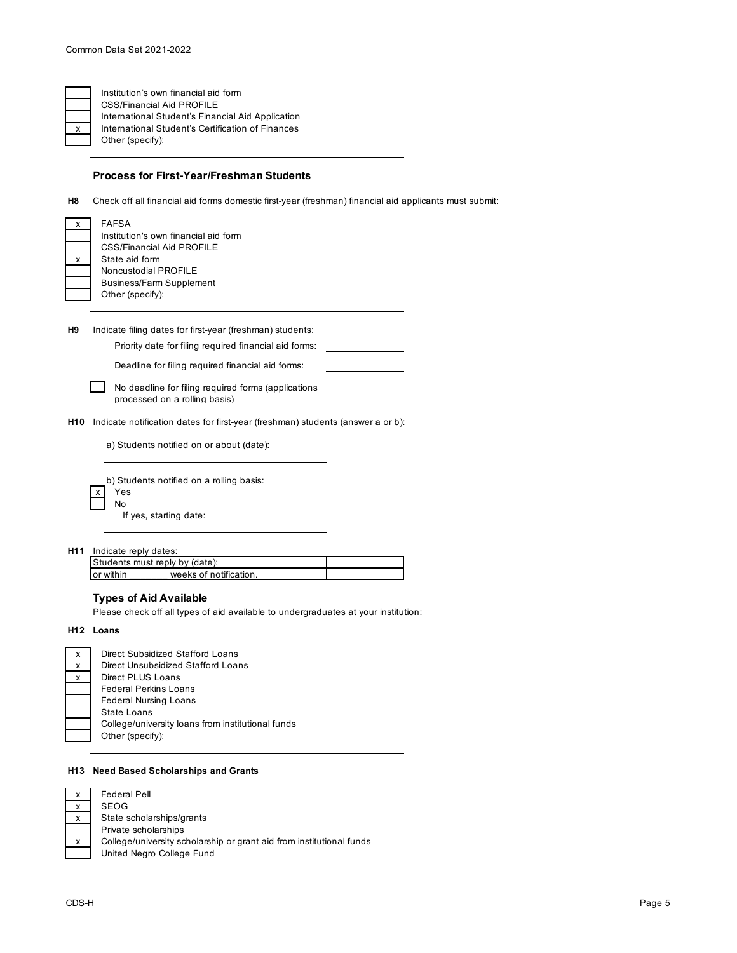## **Process for First-Year/Freshman Students**

**H8** Check off all financial aid forms domestic first-year (freshman) financial aid applicants must submit:

|   | <b>FAFSA</b>                         |
|---|--------------------------------------|
|   | Institution's own financial aid form |
|   | CSS/Financial Aid PROFILE            |
| x | State aid form                       |
|   | Noncustodial PROFILE                 |
|   | <b>Business/Farm Supplement</b>      |
|   | Other (specify):                     |
|   |                                      |
|   |                                      |

**H9** Indicate filing dates for first-year (freshman) students:

Priority date for filing required financial aid forms:

Deadline for filing required financial aid forms:

- $\mathbf{L}$ No deadline for filing required forms (applications processed on a rolling basis)
- **H10** Indicate notification dates for first-year (freshman) students (answer a or b):

a) Students notified on or about (date):

b) Students notified on a rolling basis: x Yes No If yes, starting date:

**H11** Indicate reply dates:

| weeks of notification. |  |
|------------------------|--|
|                        |  |

# **Types of Aid Available**

Please check off all types of aid available to undergraduates at your institution:

**H12 Loans**

| х | Direct Subsidized Stafford Loans                  |
|---|---------------------------------------------------|
| X | Direct Unsubsidized Stafford Loans                |
| x | Direct PLUS Loans                                 |
|   | <b>Federal Perkins Loans</b>                      |
|   | <b>Federal Nursing Loans</b>                      |
|   | State Loans                                       |
|   | College/university loans from institutional funds |
|   | Other (specify):                                  |
|   |                                                   |

#### **H13 Need Based Scholarships and Grants**

| X | <b>Federal Pell</b>                                                  |
|---|----------------------------------------------------------------------|
| X | SEOG                                                                 |
| x | State scholarships/grants                                            |
|   | Private scholarships                                                 |
| x | College/university scholarship or grant aid from institutional funds |
|   | United Negro College Fund                                            |
|   |                                                                      |